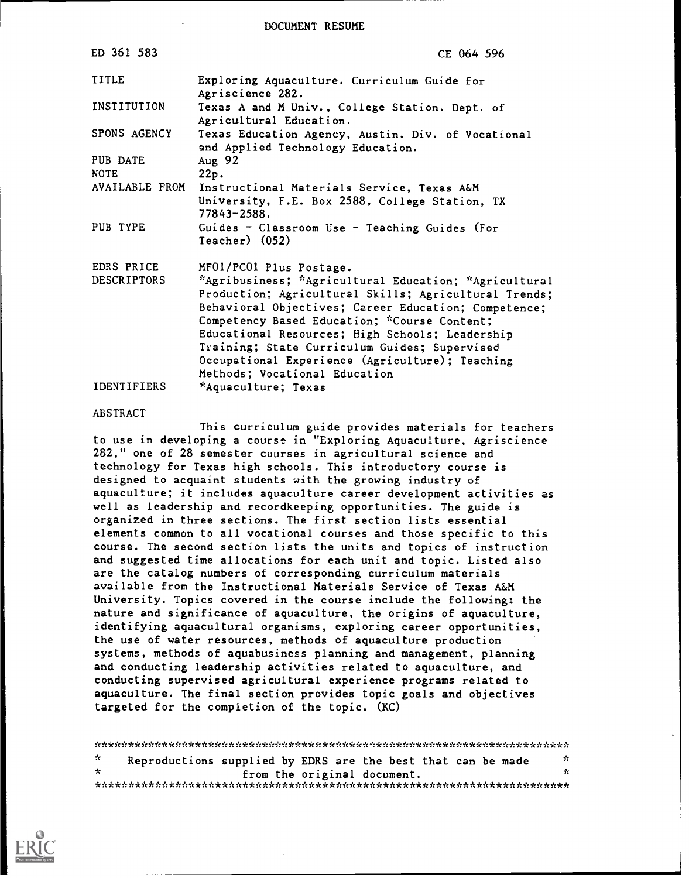#### DOCUMENT RESUME

| ED 361 583              | CE 064 596                                                                                                                                                                                                                                                                                                                                                                                                     |
|-------------------------|----------------------------------------------------------------------------------------------------------------------------------------------------------------------------------------------------------------------------------------------------------------------------------------------------------------------------------------------------------------------------------------------------------------|
| TITLE                   | Exploring Aquaculture. Curriculum Guide for<br>Agriscience 282.                                                                                                                                                                                                                                                                                                                                                |
| INSTITUTION             | Texas A and M Univ., College Station. Dept. of<br>Agricultural Education.                                                                                                                                                                                                                                                                                                                                      |
| SPONS AGENCY            | Texas Education Agency, Austin. Div. of Vocational<br>and Applied Technology Education.                                                                                                                                                                                                                                                                                                                        |
| PUB DATE<br><b>NOTE</b> | Aug 92<br>22p.                                                                                                                                                                                                                                                                                                                                                                                                 |
| AVAILABLE FROM          | Instructional Materials Service, Texas A&M                                                                                                                                                                                                                                                                                                                                                                     |
|                         | University, F.E. Box 2588, College Station, TX<br>77843-2588.                                                                                                                                                                                                                                                                                                                                                  |
| PUB TYPE                | Guides - Classroom Use - Teaching Guides (For<br>$Teacher)$ $(052)$                                                                                                                                                                                                                                                                                                                                            |
| EDRS PRICE              | MF01/PC01 Plus Postage.                                                                                                                                                                                                                                                                                                                                                                                        |
| <b>DESCRIPTORS</b>      | *Agribusiness; *Agricultural Education; *Agricultural<br>Production; Agricultural Skills; Agricultural Trends;<br>Behavioral Objectives; Career Education; Competence;<br>Competency Based Education; *Course Content;<br>Educational Resources; High Schools; Leadership<br>Training; State Curriculum Guides; Supervised<br>Occupational Experience (Agriculture); Teaching<br>Methods; Vocational Education |
| <b>IDENTIFIERS</b>      | *Aquaculture; Texas                                                                                                                                                                                                                                                                                                                                                                                            |

#### ABSTRACT

This curriculum guide provides materials for teachers to use in developing a course in "Exploring Aquaculture, Agriscience 282," one of 28 semester courses in agricultural science and technology for Texas high schools. This introductory course is designed to acquaint students with the growing industry of aquaculture; it includes aquaculture career development activities as well as leadership and recordkeeping opportunities. The guide is organized in three sections. The first section lists essential elements common to all vocational courses and those specific to this course. The second section lists the units and topics of instruction and suggested time allocations for each unit and topic. Listed also are the catalog numbers of corresponding curriculum materials available from the Instructional Materials Service of Texas A&M University. Topics covered in the course include the following: the nature and significance of aquaculture, the origins of aquaculture, identifying aquacultural organisms, exploring career opportunities, the use of water resources, methods of aquaculture production systems, methods of aquabusiness planning and management, planning and conducting leadership activities related to aquaculture, and conducting supervised agricultural experience programs related to aquaculture. The final section provides topic goals and objectives targeted for the completion of the topic. (KC)

\*\*\*\*\*\*\*\*\*\*\*\*\*\*\*\*\*\*\*\*\*\*\*\*\*\*\*\*\*\*\*\*\*\*\*\*\*\*\*\*\*\*\*\*\*\*\*\*\*\*\*\*\*\*\*\*\*\*\*\*\*\*\*\*\*\*\*\*\*\*\*  $\mathcal{H}$ Reproductions supplied by EDRS are the best that can be made from the original document. \*\*\*\*\*\*\*\*\*\*\*\*\*\*\*\*\*\*\*\*\*\*\*\*\*\*\*\*\*\*\*\*\*\*\*\*\*\*\*\*\*\*\*\*\*\*\*\*\*\*\*\*\*\*\*\*\*\*\*\*\*\*\*\*\*\*\*\*\*\*\*

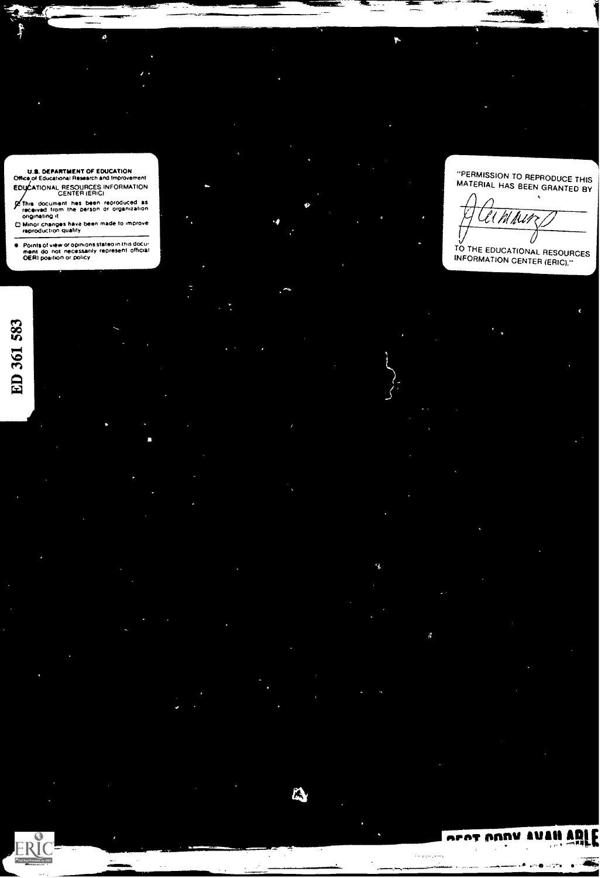US. DEPARTMENT OF EDUCATION Office of Educational Research and Improvement

ø

EDLIATIONAL RESOURCES INFORMATION CENTER (ERIC) **Of this document hes been reproduced as<br>- originating it<br>- originating 11<br>Changas have been made to improve<br>- reproduction quality<br>- reproduction quality** 

Points of view or opinions stateo in this docu<del>.</del><br>ment: do: not: necessarily represent: official ...<br>DERI poaition or policy

ED 361 583

'4

 $\mathbf{P}$ 

"PERMISSION TO REPRODUCE THIS MATERIAL HAS BEEN GRANTED BY

TO THE EDUCATIONAL RESOURCES INFORMATION CENTER (ERIC)."

 $\mathbf{r}^{\prime}$ 

orat AANV AU

, . .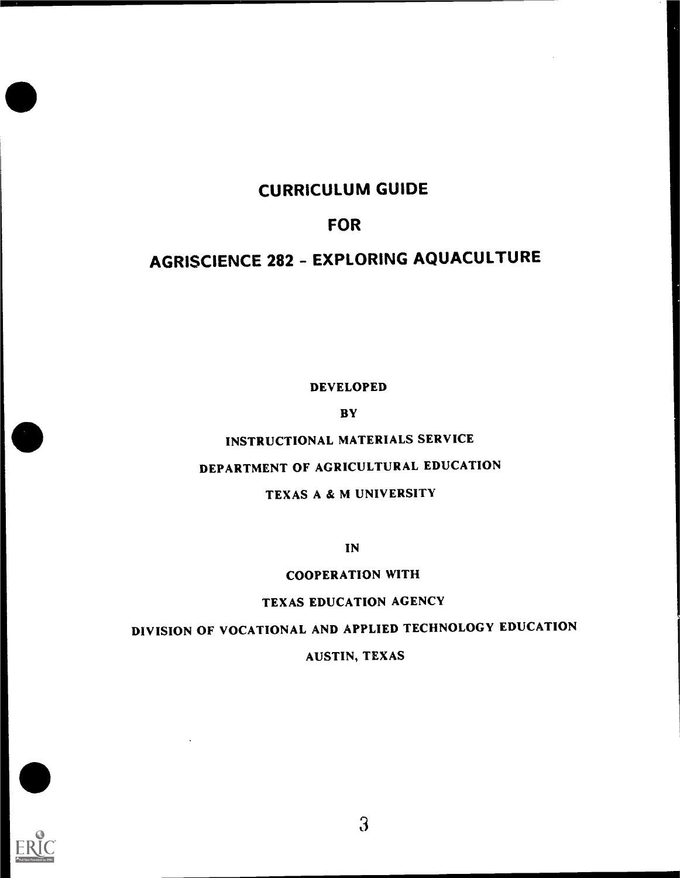# CURRICULUM GUIDE

## FOR

# AGRISCIENCE 282 - EXPLORING AQUACULTURE

DEVELOPED

**BY** 

INSTRUCTIONAL MATERIALS SERVICE

# DEPARTMENT OF AGRICULTURAL EDUCATION

## TEXAS A & M UNIVERSITY

IN

## COOPERATION WITH

#### TEXAS EDUCATION AGENCY

# DIVISION OF VOCATIONAL AND APPLIED TECHNOLOGY EDUCATION

## AUSTIN, TEXAS

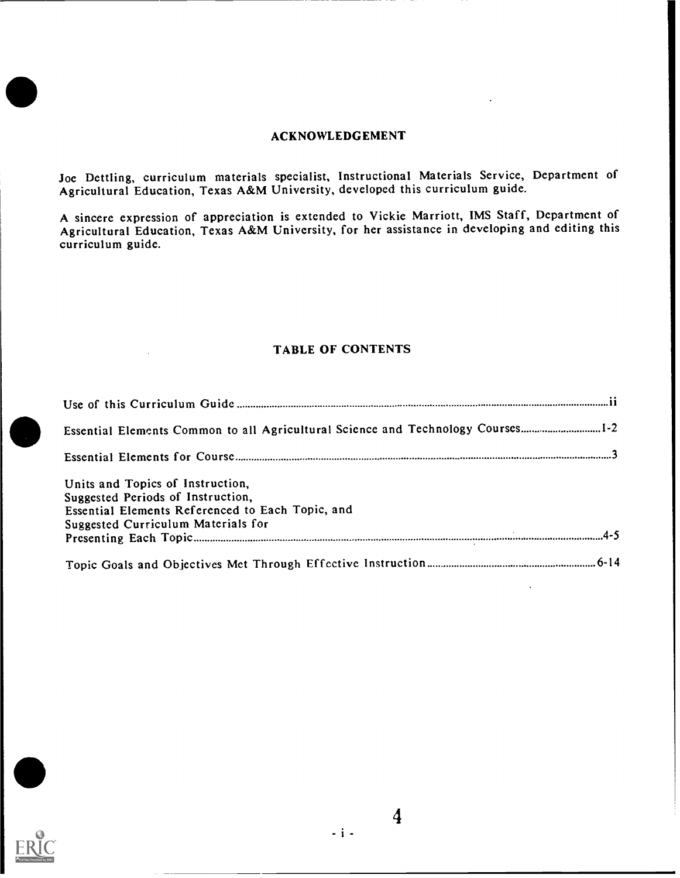#### ACKNOWLEDGEMENT

Joe Dettling, curriculum materials specialist, Instructional Materials Service, Department of Agricultural Education, Texas A&M University, developed this curriculum guide.

A sincere expression of appreciation is extended to Vickie Marriott, IMS Staff, Department of Agricultural Education, Texas A&M University, for her assistance in developing and editing this curriculum guide.

#### TABLE OF CONTENTS

| Essential Elements Common to all Agricultural Science and Technology Courses1-2                                                                                 |
|-----------------------------------------------------------------------------------------------------------------------------------------------------------------|
|                                                                                                                                                                 |
| Units and Topics of Instruction,<br>Suggested Periods of Instruction,<br>Essential Elements Referenced to Each Topic, and<br>Suggested Curriculum Materials for |
|                                                                                                                                                                 |

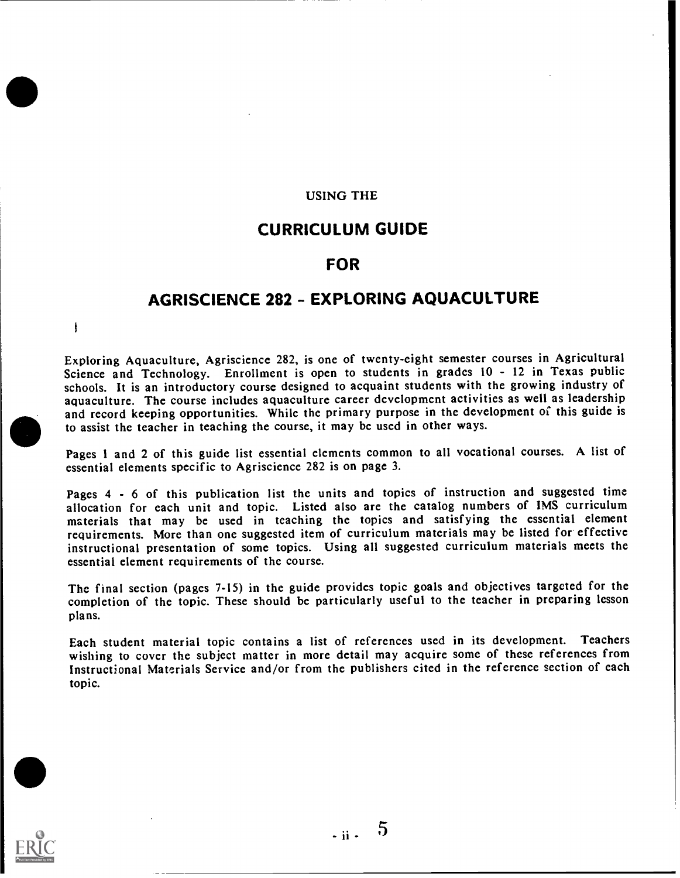#### USING THE

## CURRICULUM GUIDE

## FOR

## AGRISCIENCE 282 - EXPLORING AQUACULTURE

 $\mathfrak{g}$ 

Exploring Aquaculture, Agriscience 282, is one of twenty-eight semester courses in Agricultural Science and Technology. Enrollment is open to students in grades 10 - 12 in Texas public schools. It is an introductory course designed to acquaint students with the growing industry of aquaculture. The course includes aquaculture career development activities as well as leadership and record keeping opportunities. While the primary purpose in the development of this guide is to assist the teacher in teaching the course, it may be used in other ways.

Pages 1 and 2 of this guide list essential elements common to all vocational courses. A list of essential elements specific to Agriscience 282 is on page 3.

Pages 4 - 6 of this publication list the units and topics of instruction and suggested time allocation for each unit and topic. Listed also are the catalog numbers of IMS curriculum materials that may be used in teaching the topics and satisfying the essential element requirements. More than one suggested item of curriculum materials may be listed for effective instructional presentation of some topics. Using all suggested curriculum materials meets the essential element requirements of the course.

The final section (pages 7-15) in the guide provides topic goals and objectives targeted for the completion of the topic. These should be particularly useful to the teacher in preparing lesson plans.

Each student material topic contains a list of references used in its development. Teachers wishing to cover the subject mattcr in more detail may acquire some of these references from Instructional Materials Service and/or from thc publishers cited in the reference section of each topic.

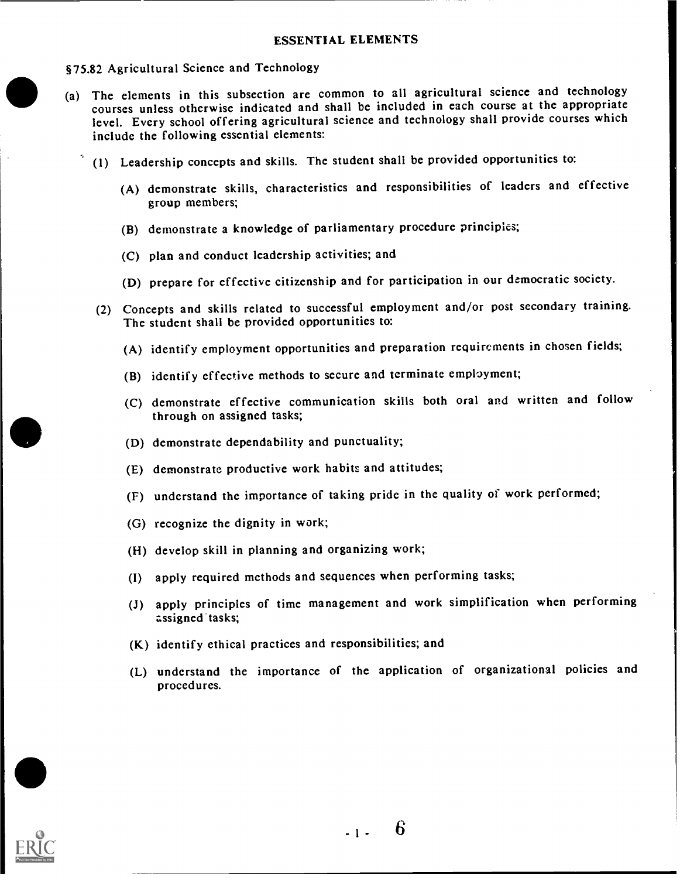#### §75.82 Agricultural Science and Technology

- (a) Thc elements in this subsection are common to all agricultural science and technology courses unless otherwise indicated and shall be included in each course at the appropriate level. Every school offering agricultural science and technology shall provide courses which include the following essential elements:
	- (1) Leadership concepts and skills. The student shall be provided opportunities to:
		- (A) demonstrate skills, characteristics and responsibilities of leaders and effective group members;
		- (B) demonstrate a knowledge of parliamentary procedure principles;
		- (C) plan and conduct leadership activities; and
		- (D) prepare for effective citizenship and for participation in our democratic society.
	- (2) Concepts and skills related to successful employment and/or post secondary training. The student shall be provided opportunities to:
		- (A) identify employment opportunities and preparation requirements in chosen fields;
		- (B) identify effective methods to secure and terminate employment;
		- (C) demonstrate effective communication skills both oral and written and follow through on assigned tasks;
		- (D) demonstrate dependability and punctuality;
		- (E) demonstrate productive work habits and attitudes;
		- (F) understand the importance of taking pride in the quality of work performed;
		- (G) recognize the dignity in work;
		- (H) develop skill in planning and organizing work;
		- (I) apply required methods and sequences when performing tasks;
		- (J) apply principles of time management and work simplification when performing assigned tasks;
		- (K) identify ethical practices and responsibilities; and
		- (L) understand the importance of the application of organizational policies and procedures.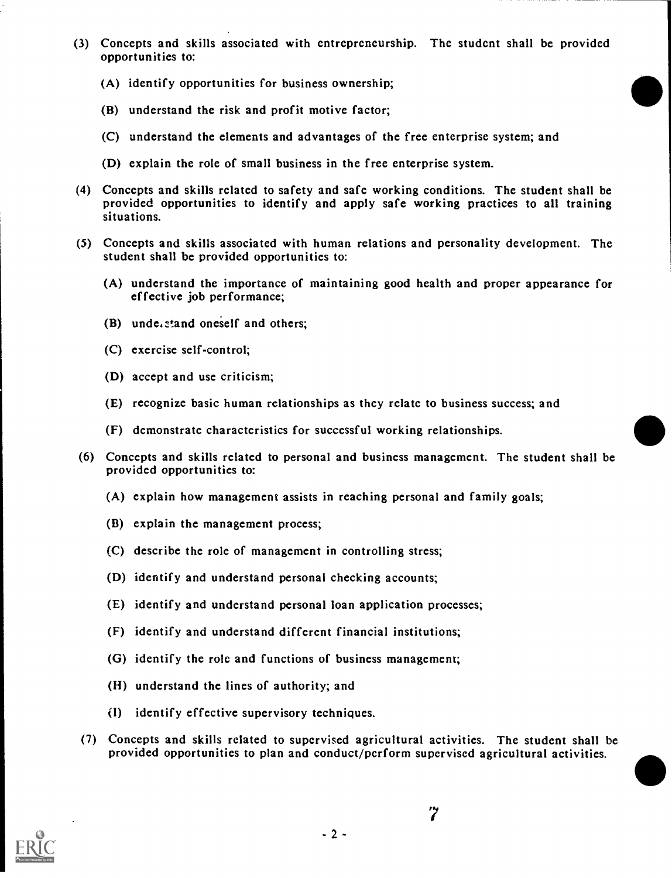- (3) Concepts and skills associated with entrepreneurship. The student shall be provided opportunities to:
	- (A) identify opportunities for business ownership;
	- (B) understand the risk and profit motive factor;
	- (C) understand the elements and advantages of the free enterprise system; and
	- (D) explain the role of small business in the free enterprise system.
- (4) Concepts and skills related to safety and safe working conditions. The student shall be provided opportunities to identify and apply safe working practices to all training situations.
- (5) Concepts and skills associated with human relations and personality development. The student shall be provided opportunities to:
	- (A) understand the importance of maintaining good health and proper appearance for effective job performance;
	- (B) understand oneself and others;
	- (C) exercise self-control;
	- (D) accept and use criticism;
	- (E) recognize basic human relationships as they relate to business success; and
	- (F) demonstrate characteristics for successful working relationships.
- (6) Concepts and skills related to personal and business management. The studcnt shall be provided opportunitics to:
	- (A) explain how management assists in reaching personal and family goals;
	- (B) explain the management process;
	- (C) describe the role of management in controlling stress;
	- (D) identify and understand personal checking accounts;
	- (E) identify and understand personal loan application processes;
	- (F) identify and understand different financial institutions;
	- (G) identify the role and functions of business management;
	- (H) understand the lines of authority; and
	- (I) identify effective supervisory techniques.
- (7) Concepts and skills related to supervised agricultural activities. The student shall be provided opportunitics to plan and conduct/perform supervised agricultural activities.

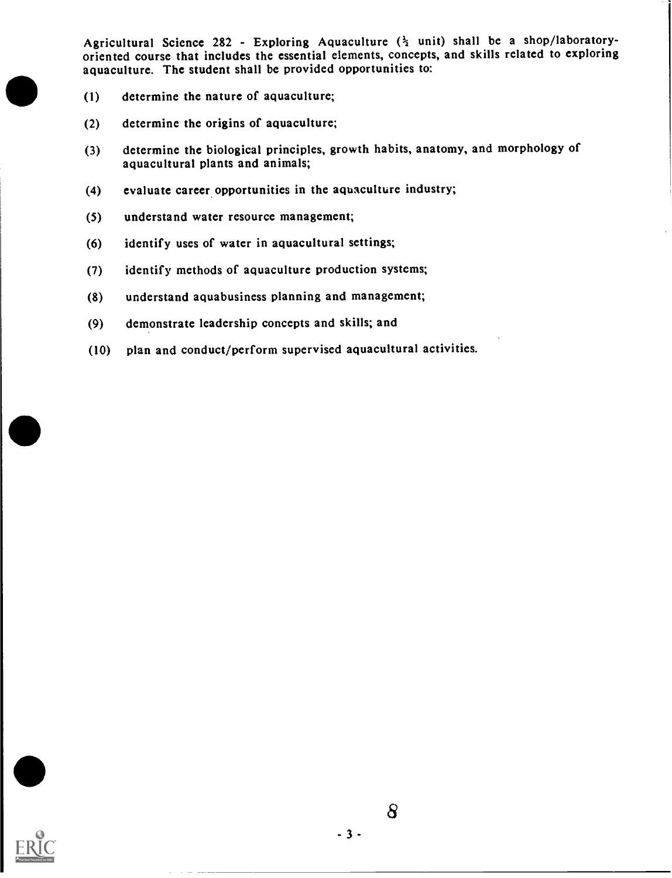Agricultural Science 282 - Exploring Aquaculture  $(\frac{1}{2}$  unit) shall be a shop/laboratoryoriented course that includes the essential elements, concepts, and skills related to exploring aquaculture. The student shall be provided opportunities to:

- (1) determine the nature of aquaculture;
- (2) determine the origins of aquaculture;
- (3) determine the biological principles, growth habits, anatomy, and morphology of aquacultural plants and animals;
- (4) evaluate career.opportunities in the aquaculture industry;
- (5) understand water resource management;
- (6) identify uses of watcr in aquacultural settings;
- (7) identify methods of aquaculture production systems;
- (8) understand aquabusiness planning and management;
- (9) demonstrate leadership concepts and skills; and
- (10) plan and conduct/perform supervised aquacultural activities.



8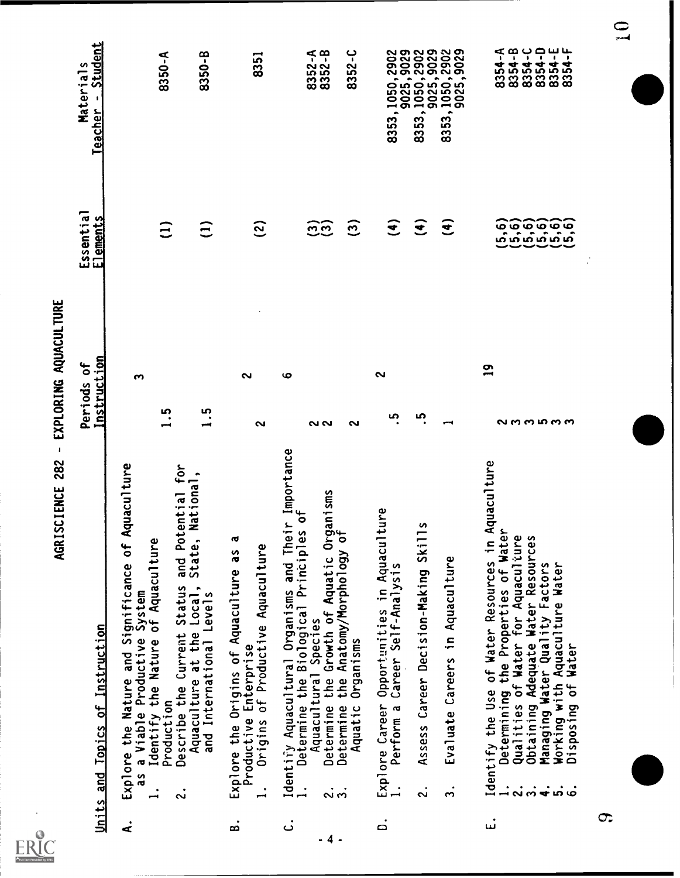

# AGRISCIENCE 282 - EXPLORING AQUACULTURE

|                    | Units and Topics of Instruction                                                                                                                                                                                                                                                                          | Instruction<br>Periods of  | Essential<br>Elements             | Student<br>Materials<br>$\pmb{\ast}$<br>Teacher                                                                |
|--------------------|----------------------------------------------------------------------------------------------------------------------------------------------------------------------------------------------------------------------------------------------------------------------------------------------------------|----------------------------|-----------------------------------|----------------------------------------------------------------------------------------------------------------|
| ď                  | Aquaculture<br>Explore the Nature and Significance of<br>as a Viable Productive System<br>1. Identify the Nature of Aquaculture                                                                                                                                                                          | S                          |                                   |                                                                                                                |
|                    | otential<br>Φ<br>and P<br>Describe the Current Status<br>Production<br>$\ddot{\text{c}}$                                                                                                                                                                                                                 | <u>ي</u><br>$\blacksquare$ | $\widehat{\Xi}$                   | 8350-A                                                                                                         |
|                    | tential for<br>National,<br>$\bullet$<br>State<br>Aquaculture at the Local,<br>and International Levels                                                                                                                                                                                                  | 1.5                        | $\widehat{z}$                     | 8350-B                                                                                                         |
| œ                  | ۵J<br>Origins of Productive Aquaculture<br>Explore the Origins of Aquaculture as<br>Productive Enterprise<br>$\overline{\phantom{a}}$                                                                                                                                                                    | 2<br>$\sim$                | <u>ි</u>                          | 8351                                                                                                           |
| .<br>ت             | Identify Aquacultural Organisms and Their Importance                                                                                                                                                                                                                                                     | $\mathbf{o}$               |                                   |                                                                                                                |
| - 4                | Organisms<br>y of<br>$\sigma$<br>ပ္ပ<br>Determine the Biological Principl<br>Aquacultural Species<br>the Growth of Aquatic<br>Species<br>Determine<br>$\overline{ }$<br>$\dot{\sim}$                                                                                                                     | ៷៷                         | တ္ထြက္ခ                           | 8352-A<br>8352-B                                                                                               |
|                    | the Anatomy/Morphology<br>Organisms<br>Determine<br>Aquatic                                                                                                                                                                                                                                              | ົ                          | $\widehat{\Xi}$                   | $8352 - C$                                                                                                     |
| $\dot{\mathsf{d}}$ | Opportunities in Aquaculture<br>Career Self-Analysis<br>Explore Career<br>1. Perform a                                                                                                                                                                                                                   | ົ<br><u>ທ</u>              | $\widehat{\mathbf{t}}$            |                                                                                                                |
|                    | $\overline{115}$<br>Assess Career Decision-Making Ski<br>$\ddot{\sim}$                                                                                                                                                                                                                                   | ഥ                          | $\widehat{\mathbf{f}}$            |                                                                                                                |
|                    | Evaluate Careers in Aquaculture<br>$\ddot{ }$                                                                                                                                                                                                                                                            |                            | $\mathbf{\widehat{t}}$            | 8353, 1050, 2902<br>9025, 9025, 9029<br>8353, 1050, 2902<br>9025, 9025, 2902<br>8353, 1050, 2902<br>9025, 9025 |
|                    | Identify the Use of Water Resources in Aquaculture<br>Determining the Properties of Water<br>Qualities of Water for Aquaculiure<br>Obtaining Adequate Water Resources<br>Managing Water Quality Factors<br>Working with Aquaculture Water<br>Disposing of Water<br>$\ddot{a} \ddot{b} \ddot{d}$<br>က် ထံ | $\mathbf{a}$<br>ຎຓຓຏຓຓ     | ်<br>ပြစ်ပြစ်ပြစ်<br>ပြစ်ပြစ်ပြစ် | 8354-A<br>8354-B<br>8354-C<br>8354-D<br>யுடி<br>8354<br>8354                                                   |
| σ.                 |                                                                                                                                                                                                                                                                                                          |                            |                                   |                                                                                                                |

 $\sum_{i=1}^{n}$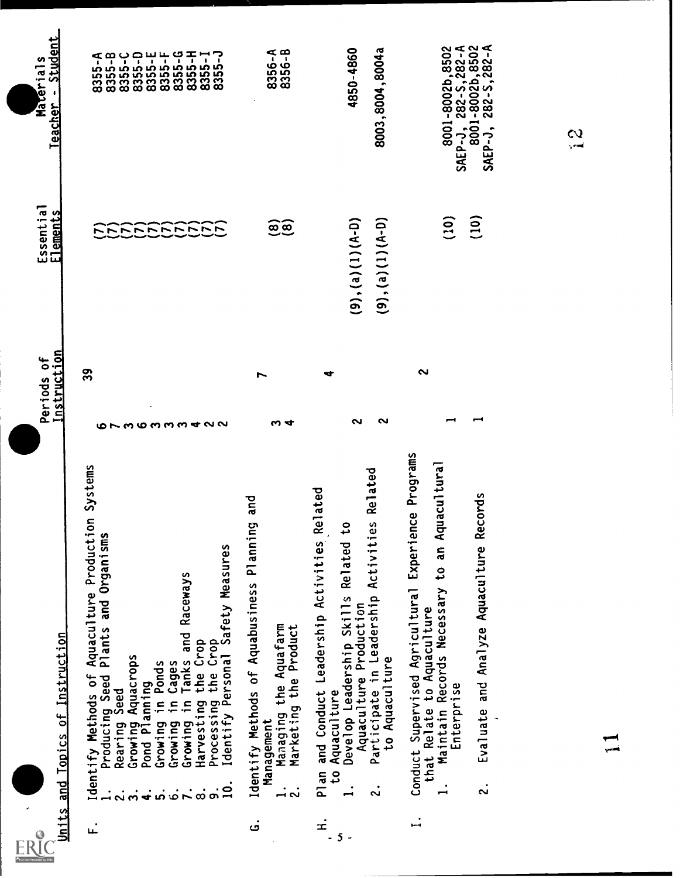| Units   | Topics of Instruction<br>$\frac{d}{dt}$                                                                                                                                                                                                                                                                                                                                                                                                                                                                     | Instruction<br>Periods of                                      | Essential<br>Elements                            | Student<br>Materials<br>$\bullet$<br>Teacher                                     |
|---------|-------------------------------------------------------------------------------------------------------------------------------------------------------------------------------------------------------------------------------------------------------------------------------------------------------------------------------------------------------------------------------------------------------------------------------------------------------------------------------------------------------------|----------------------------------------------------------------|--------------------------------------------------|----------------------------------------------------------------------------------|
| عد      | Aquaculture Production Systems<br>Producing Seed Plants and Organisms<br>Rearing Seed<br>Processing the Crop<br>Identify Personal Safety Measures<br>Raceways<br>Cages<br>Tanks and<br>Crop<br>Aquacrops<br><b>Ponds</b><br>the<br>Identify Methods of<br>Growing Aquaci<br>Pond Planning<br>์<br>.ี่⊏<br>$\ddot{=}$<br>$\equiv$<br>Harvesting<br>Rearing<br>Growing<br>Growing<br>Growing<br>$\overline{a}$<br>ທ່<br>$\frac{1}{2}$<br>$\ddot{\bullet}$<br>$\ddot{\sim}$<br>$\overline{a}$<br>$\infty$<br>ო | 39<br>$0 \sim 0.00$ mm $\alpha$ d $\gamma$                     | NNNNNNNNNN                                       |                                                                                  |
| .<br>ت  | and<br>Identify Methods of Aquabusiness Planning<br>Managing the Aquafarm<br>Marketing the Product<br>Management<br>$\bullet$<br>$\ddot{\sim}$<br>$\overline{\phantom{0}}$                                                                                                                                                                                                                                                                                                                                  | L<br>ო 4                                                       | <u>මෙ</u>                                        | 8356-A<br>8356-B                                                                 |
| $\pm$   | <b>Related</b><br>Related<br>ies<br>$\mathbf{c}$<br>and Conduct Leadership Activities<br><b>Related</b><br>Participate in Leadership Activit<br>Develop Leadership Skills<br>Aquaculture Production<br>to Aquaculture<br>Aquaculture<br>5 <sup>0</sup><br>Plan<br>$\mathbf{L}$<br>$\ddot{\sim}$                                                                                                                                                                                                             | ෑ<br>N<br>ົ                                                    | $(9), (a), (1), (A-0)$<br>$(9), (a), (1), (A-D)$ | 4850-4860<br>8003, 8004, 8004a                                                   |
| .<br>سر | ence Programs<br>Aquacultural<br>Records<br>Experi<br>Evaluate and Analyze Aquaculture<br>ã<br>₿,<br>Supervised Agricultural<br>Maintain Records Necessary<br>Conduct Supervised Aguaculture<br>that Relate to Aquaculture<br>Enterprise<br>$\mathbf{L}$<br>$\ddot{\sim}$                                                                                                                                                                                                                                   | $\sim$<br>$\overline{\phantom{0}}$<br>$\overline{\phantom{0}}$ | (10)<br>(10)                                     | 8001-8002b,8502<br>SAEP-J, 282-S,282-A<br>8001-8002b,8502<br>SAEP-J, 282-S,282-A |
|         |                                                                                                                                                                                                                                                                                                                                                                                                                                                                                                             |                                                                |                                                  | $\frac{3}{2}$                                                                    |
|         |                                                                                                                                                                                                                                                                                                                                                                                                                                                                                                             |                                                                |                                                  |                                                                                  |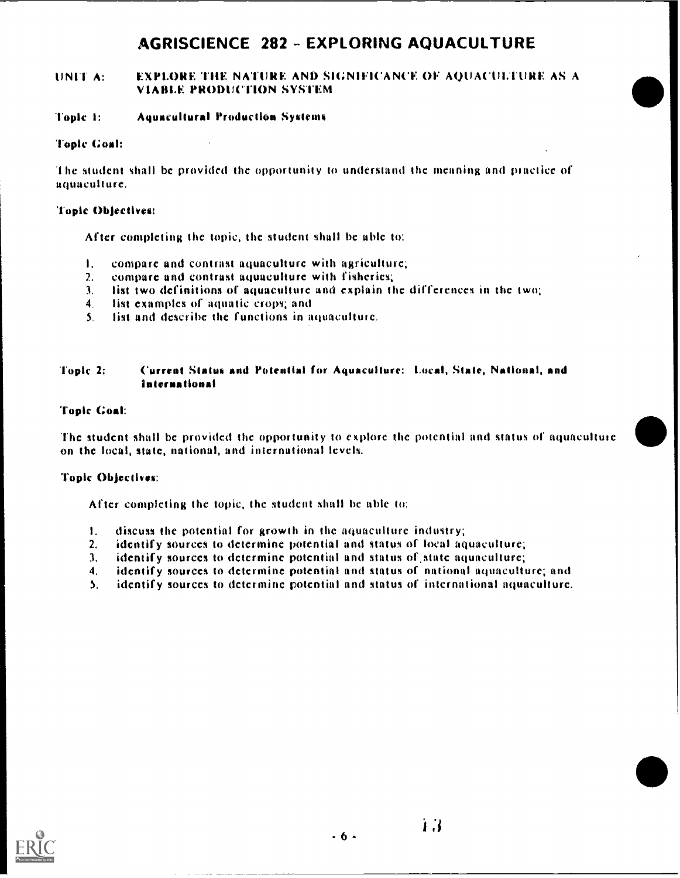# AGRISCIENCE 282 - EXPLORING AQUACULTURE

#### UNIT A: FEXPLORE THE NATURE AND SIGNIFICANCE OF AQUACULTURE AS A VIABLE PRODUCTION SYSTEM

#### Topic 1: Aquaculture! Production Systems

#### Topic Coal:

'the student shall bc provided the opportunity to understand the meaning and piactice of aquaculture.

#### Topic Objectives:

After completing the topic, the student shall be able to:

- I. compare and contrast aquaculture with agriculture;
- 2. compare and contrast aquaculture with fisheries;
- 3. list two definitions of aquaculture und explain the differences in thc two;
- 4. list examples of aquatic crops; and
- 5. lift and describe the functions in aquaculture.

#### Topic 2: Current Status and Potential for Aquaculture: Local, State, National, and international

#### Topic Coal:

The student shall be provided the opportunity to explore the potential and status of aquacultuie on the local, state, notional, and international levels.

#### Topic Objectives:

After completing the topic, the student shall be able to:

- I. discuss the potential for growth in the aquaculture industry;
- identify sources to determine potential and status of local aquaculture;
- 3. identify sources to determine potential and status of.state aquaculture;
- 4. identify sources to determine potential and status of national aquaculture; and
- 5. identify sources to determine potential and status of international aquaculture.

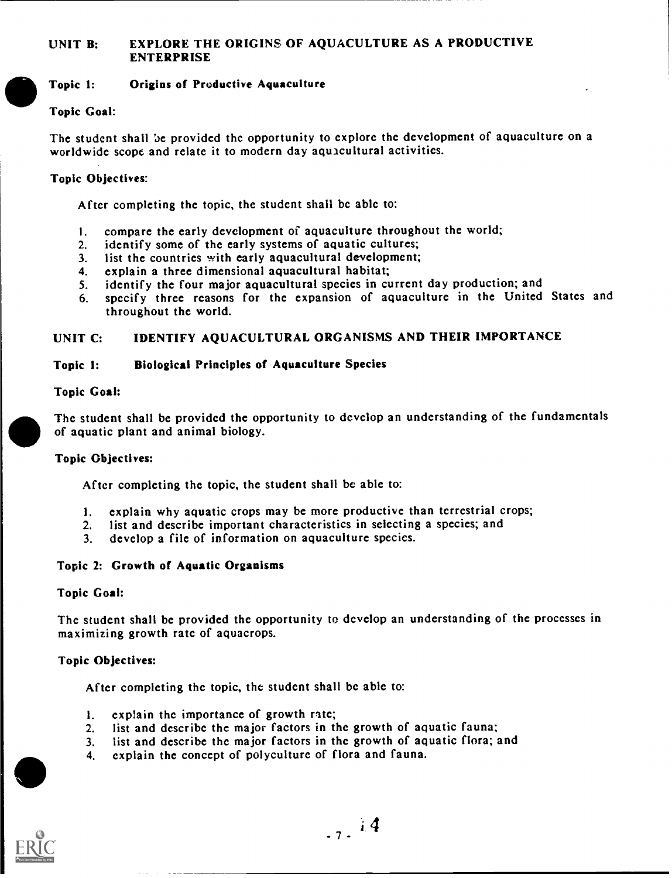## UNIT B: EXPLORE THE ORIGINS OF AQUACULTURE AS A PRODUCTIVE ENTERPRISE

#### Topic 1: Origins of Productive Aquaculture

#### Topic Goal:

Thc student shall be provided the opportunity to explore the development of aquaculture on a worldwide scope and relate it to modern day aquacultural activities.

#### Topic Objectives:

After completing the topic, the student shall bc able to:

- 1. compare the early development of aquaculture throughout the world;<br>2. identify some of the early systems of aquatic cultures;
- 2. identify some of the early systems of aquatic cultures;<br>3. list the countries with early aquacultural development;
- 3. list the countries with early aquacultural development;<br>4. explain a three dimensional aquacultural habitat;
- 
- 4. explain a three dimensional aquacultural habitat;<br>5. identify the four major aquacultural species in cu identify the four major aquacultural species in current day production; and
- 6. specify three reasons for thc expansion of aquaculture in the United States and throughout the world.

#### UNIT C: IDENTIFY AQUACULTURAL ORGANISMS AND THEIR IMPORTANCE

#### Topic 1: Biological Principles of Aquaculture Species

#### Topic Goal:

Thc student shall bc provided the opportunity to develop an understanding of the fundamentals of aquatic plant and animal biology.

#### Topic Objectives:

After completing the topic, the student shall be able to:

- I. explain why aquatic crops may be morc productive than terrestrial crops;
- 2. list and describe important characteristics in selecting a species; and
- 3. develop a file of information on aquaculture species.

#### Topic 2: Growth of Aquatic Organisms

#### Topic Goal:

Thc student shall be provided thc opportunity to develop an understanding of the processes in maximizing growth rate of aquacrops.

#### Topic Objectives:

Aftcr completing the topic, the student shall be able to:

- I. exp1ain the importancc of growth rite;
- 2. list and describe the major factors in thc growth of aquatic fauna;
- 3. list and describe the major factors in the growth of aquatic flora; and
- 4. explain the concept of polyculture of flora and fauna.



 $.7.14$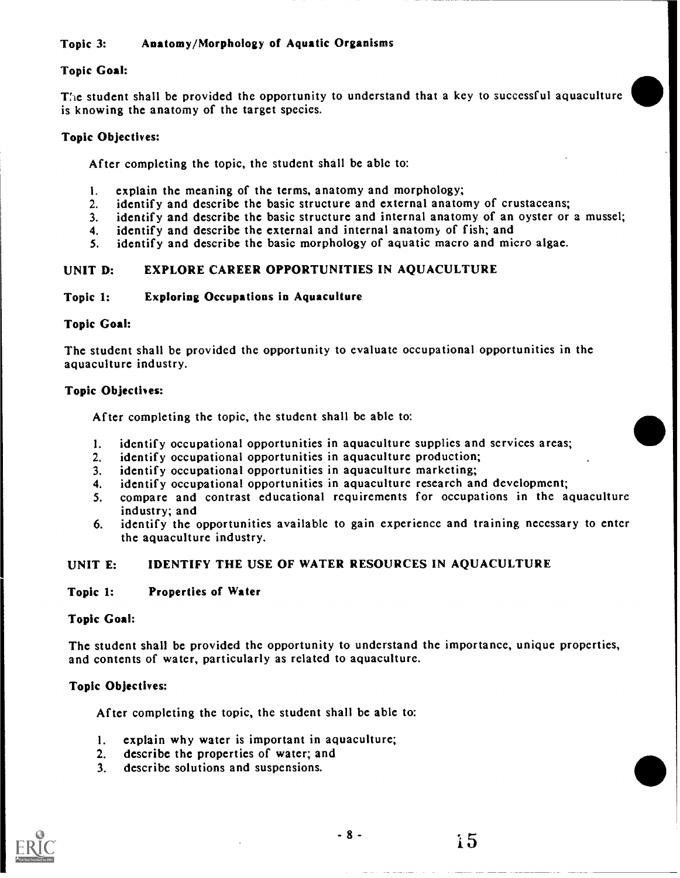#### Topic 3: Anatomy/Morphology of Aquatic Organisms

#### Topic Goal:

The student shall be provided the opportunity to understand that a key to successful aquaculture is knowing the anatomy of the targct species.

#### Topic Objectives:

After completing the topic, the student shall be able to:

- 1. explain the meaning of the terms, anatomy and morphology;<br>2. identify and describe the basic structure and external anatom
- 2. identify and describe the basic structure and external anatomy of crustaceans;<br>3. identify and describe the basic structure and internal anatomy of an oyster or
- identify and describe the basic structure and internal anatomy of an oyster or a mussel;
- 4. identify and describe the external and internal anatomy of fish; and
- 5. identify and describe the basic morphology of aquatic macro and micro algae.

#### UNIT D: EXPLORE CAREER OPPORTUNITIES IN AQUACULTURE

#### Topic 1: Exploring Occupations in Aquaculture

#### Topic Goal:

The student shall be provided thc opportunity to evaluate occupational opportunities in the aquaculture industry.

#### Topic Objectives:

After completing the topic, the student shall be able to:

- 1. identify occupational opportunities in aquaculture supplies and services areas;
- 2. identify occupational opportunities in aquaculture production;
- 3. idcntify occupational opportunities in aquaculture marketing;
- 4. identify occupational opportunities in aquaculture research and development;
- 5. compare and contrast educational requirements for occupations in the aquaculture industry; and
- 6. identify thc opportunities available to gain experience and training necessary to enter the aquaculture industry.

#### UNIT E: IDENTIFY THE USE OF WATER RESOURCES IN AQUACULTURE

#### Topic 1: Properties of Water

#### Topic Goal:

The student shall be provided the opportunity to understand the importance, unique properties, and contents of water, particularly as related to aquaculture.

#### Topic Objectives:

After completing thc topic, thc studcnt shall bc able to:

- I. explain why water is important in aquaculture;
- 2. describe the properties of water; and
- 3. describe solutions and suspensions.

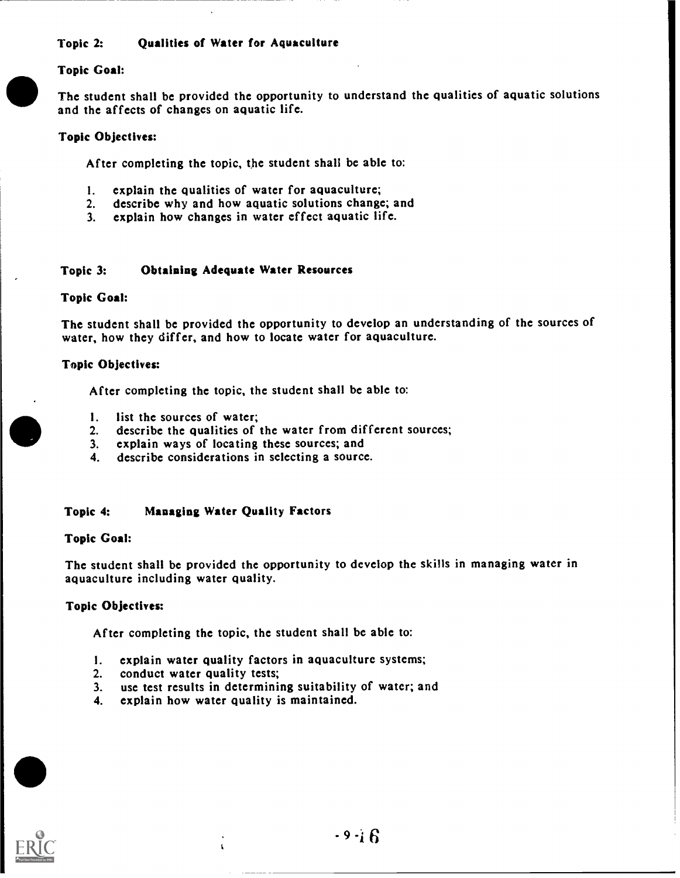#### Topic 2: Qualities of Water for Aquaculture

#### Topic Goal:

The student shall be provided the opportunity to understand the qualities of aquatic solutions and the affects of changes on aquatic life.

#### Topic Objectives:

After completing the topic, the student shall be able to:

- 1. explain the qualities of water for aquaculture;<br>2. describe why and how aquatic solutions change
- describe why and how aquatic solutions change; and
- 3. explain how changes in water effect aquatic life.

#### Topic 3: Obtaining Adequate Water Resources

#### Topic Goal:

The student shall be provided the opportunity to develop an understanding of the sources of water, how they differ, and how to locate water for aquaculture.

#### Topic Objectives:

After completing the topic, the student shall be able to:

- 
- 1. list the sources of water;<br>2. describe the qualities of describe the qualities of the water from different sources;
- 3. explain ways of locating these sources; and
- 4. describe considerations in selecting a source.

#### Topic 4: Managing Water Quality Factors

#### Topic Goal:

The student shall be provided the opportunity to develop the skills in managing water in aquaculture including water quality.

#### Topic Objectives:

After completing the topic, thc student shall be able to:

- I. explain water quality factors in aquaculture systems;
- 2. conduct water quality tests;
- 3. use test results in determining suitability of watcr; and
- 4. explain how water quality is maintained.

 $\mathbf{t}$ 

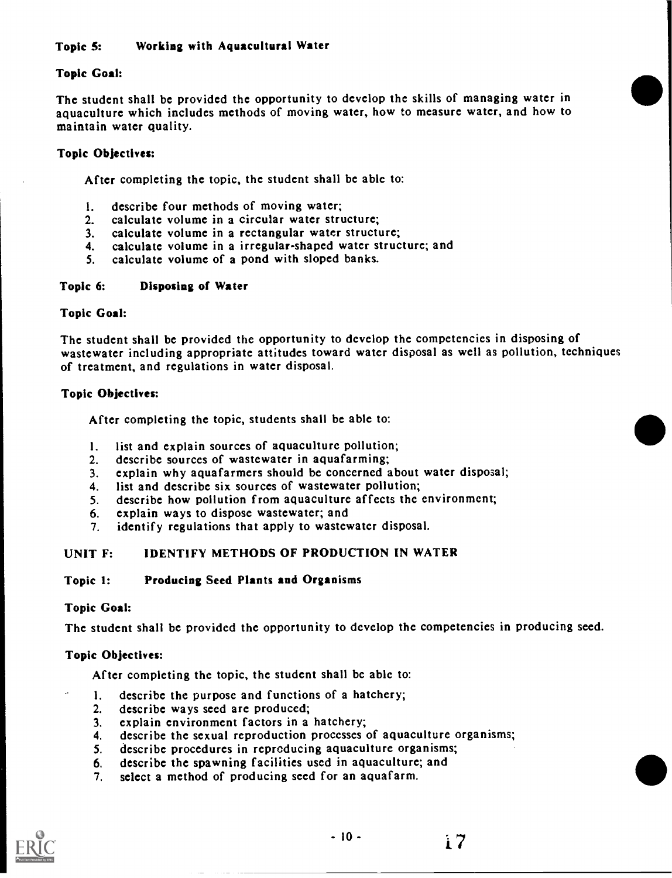## Topic 5: Working with Aquacultural Water

## Topic Goal:

The student shall be provided the opportunity to develop the skills of managing water in aquaculture which includes methods of moving water, how to measure water, and how to maintain water quality.

## Topic Objectives:

After completing the topic, the student shall be able to:

- I. describe four methods of moving water;
- 2. calculate volume in a circular water structure;<br>3. calculate volume in a rectangular water structu
- calculate volume in a rectangular water structure;
- 4. calculate volume in a irregular-shaped water structure; and<br>5. calculate volume of a pond with sloped banks.
- calculate volume of a pond with sloped banks.

## Topic 6: Disposing of Water

## Topic Goal:

The student shall be provided the opportunity to develop the competencies in disposing of wastewater including appropriate attitudes toward water disposal as well as pollution, techniques of treatment, and regulations in water disposal.

## Topic Objectives:

After completing the topic, students shall be able to:

- I. list and explain sources of aquaculture pollution;
- 2. describe sources of wastewater in aquafarming;
- 3. explain why aquafarmers should be concerned about water disposal;
- 4. list and describe six sources of wastewater pollution;
- 5. describe how pollution from aquaculture affects the environment;
- 6. explain ways to dispose wastewater; and
- 7. identify regulations that apply to wastcwatcr disposal.

#### UNIT F: IDENTIFY METHODS OF PRODUCTION IN WATER

#### Topic 1: Producing Seed Plants and Organisms

## Topic Goal:

The student shall be provided the opportunity to develop thc competencies in producing seed.

## Topic Objectives:

After completing the topic, the student shall be able to:

- 1. describe the purpose and functions of a hatchery;<br>2. describe ways seed are produced;
- describe ways seed are produced;
- 3. explain environment factors in a hatchery;
- 4. describe the sexual reproduction processes of aquaculture organisms;
- 5. describe procedures in reproducing aquaculture organisms;
- 6. describe the spawning facilities used in aquaculture; and<br>7. select a method of producing seed for an aquafarm.
- select a method of producing seed for an aquafarm.

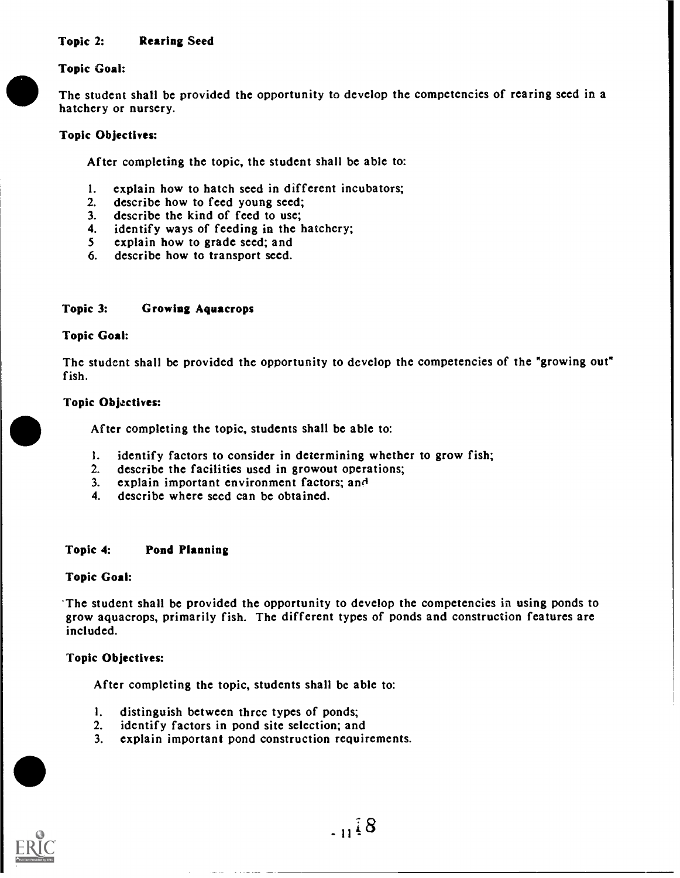#### Topic 2: Rearing Seed

#### Topic Goal:

The student shall be provided the opportunity to develop the competencies of rearing seed in a hatchery or nursery.

#### Topic Objectives:

After completing the topic, the student shall be able to:

- 1. explain how to hatch seed in different incubators;<br>2. describe how to feed young seed:
- 2. describe how to feed young seed;<br>3. describe the kind of feed to use;
- 3. describe the kind of feed to use;<br>4. identify ways of feeding in the h
- 4. identify ways of feeding in the hatchery;<br>5 explain how to grade seed; and
- 5 explain how to grade seed; and<br>6. describe how to transport seed.
- describe how to transport seed.

#### Topic 3: Growing Aquacrops

#### Topic Goal:

The student shall be provided the opportunity to develop the competencies of the "growing out" fish.

#### Topic Objectives:

After completing the topic, students shall be able to:

- I. identify factors to consider in determining whether to grow fish;
- 2. describe the facilities used in growout operations;
- 3. explain important environment factors; and
- 4. describe where seed can be obtained.

#### Topic 4: Pond Planning

#### Topic Goal:

-The student shall be provided the opportunity to develop the competencies in using ponds to grow aquacrops, primarily fish. The different types of ponds and construction features are included.

#### Topic Objectives:

After completing the topic, students shall bc able to:

- 1. distinguish between three types of ponds;<br>2. identify factors in pond site selection; and
- identify factors in pond site selection; and
- 3. explain important pond construction requirements.

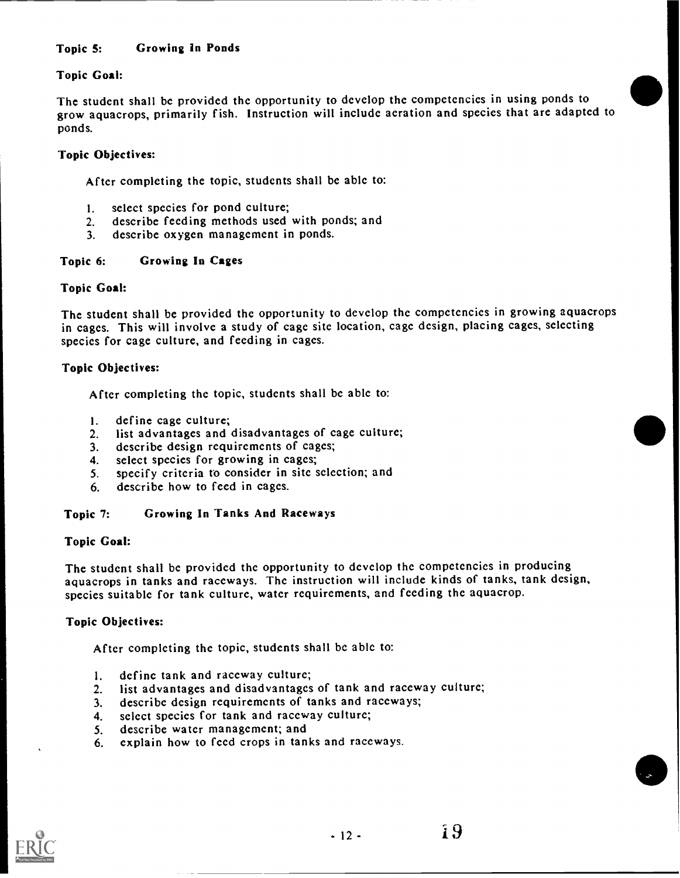## Topic 5: Growing In Ponds

## Topic Goal:

The student shall be provided thc opportunity to develop the competencies in using ponds to grow aquacrops, primarily fish. Instruction will include aeration and species that arc adaptcd to ponds.

## Topic Objectives:

Aftcr completing the topic, students shall be able to:

- 1. select species for pond culture;
- 2. describe feeding methods used with ponds; and
- 3. describe oxygcn management in ponds.

#### Topic 6: Growing In Cages

#### Topic Goal:

The student shall be provided the opportunity to develop the competencies in growing aquacrops in cages. This will involve a study of cage sitc location, cage dcsign, placing cages, selecting species for cage culture, and feeding in cagcs.

#### Topic Objectives:

After completing the topic, students shall be able to:

- I. define cage culture;
- 2. list advantages and disadvantages of cage culture;
- 3. describe design requirements of cages;
- 4. select species for growing in cages;
- 5. specify criteria to consider in sitc selection; and
- 6. describe how to feed in cages.

#### Topic 7: Growing In Tanks And Raceways

#### Topic Goal:

The student shall be provided the opportunity to develop the competencies in producing aquacrops in tanks and raceways. Thc instruction will include kinds of tanks, tank design, species suitable for tank culture, watcr requirements, and feeding thc aquacrop.

## Topic Objectives:

After completing thc topic, students shall be able to:

- 1. define tank and raceway culture;
- 2. list advantages and disadvantages of tank and raceway culture;
- 3. describe design requirements of tanks and raceways;
- 4. select species for tank and raceway culture;
- 5. describe water management; and
- 6. explain how to fccd crops in tanks and raccways.

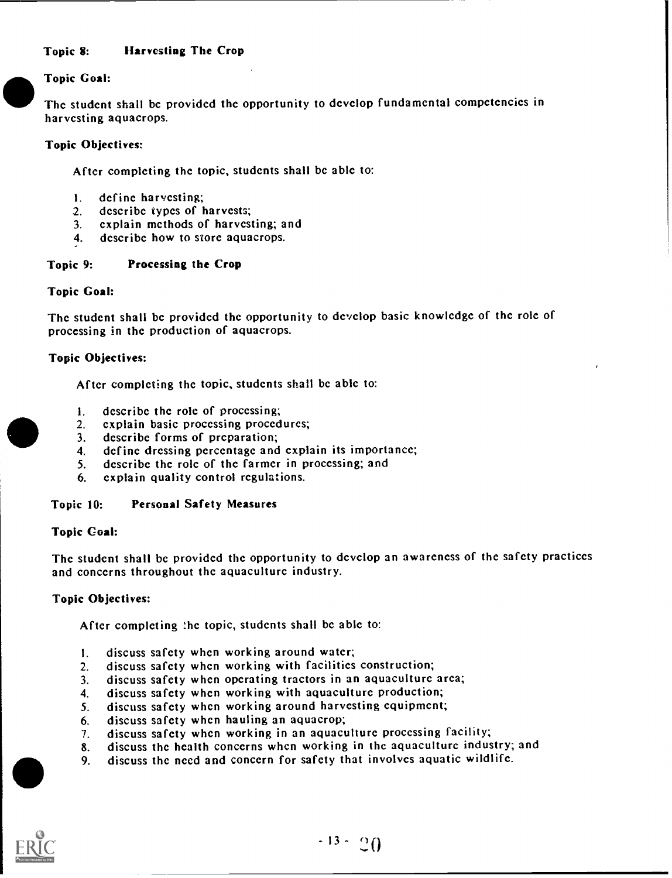#### Topic 8: Harvesting The Crop

#### Topic Goal:

Thc studcnt shall bc providcd thc opportunity to develop fundamental compctcncics in harvcsting aquacrops.

#### Topic Objectives:

Aftcr completing thc topic, students shall bc ablc to:

- I. define harvesting;
- 2. describe types of harvests;<br>3. explain methods of harves
- explain methods of harvesting; and
- 4. dcscribc how to store aquacrops.

#### Topic 9: Processing the Crop

#### Topic Goal:

The studcnt shall be provided the opportunity to develop basic knowledge of thc role of processing in thc production of aquacrops.

#### Topic Objectives:

Aftcr completing the topic, studcnts shall bc able to:

- 1. describe the role of processing;<br>2. explain basic processing proced
- 2. explain basic processing procedures;<br>3. describe forms of preparation;
- describe forms of preparation;
- 4. dcfinc drcssing percentage and cxplain its importancc;
- 5. describe the role of thc farmcr in processing; and
- 6. cxplain quality control regulations.

#### Topic 10: Personal Safety Measures

#### Topic Coal:

Thc student shall be providcd thc opportunity to develop an awarcncss of thc safcty practiccs and conccrns throughout the aquaculturc industry.

#### Topic Objectives:

Aftcr complcting :hc topic, studcnts shall bc ablc to:

- I. discuss safcty whcn working around watcr;
- 2. discuss safcty whcn working with facilitics construction;
- 3. discuss safety whcn operating tractors in an aquaculture arca;
- 4. discuss safcty whcn working with aquaculture production;
- 5. discuss safcty when working around harvesting cquipmcnt;
- 6. discuss safety when hauling an aquacrop;
- 7. discuss safcty whcn working in an aquaculturc proccssing facility;
- 8. discuss thc hcalth conccrns when working in thc aquaculturc industry; and
- 9. discuss thc nccd and conccrn for safcty that involves aquatic wildlife.

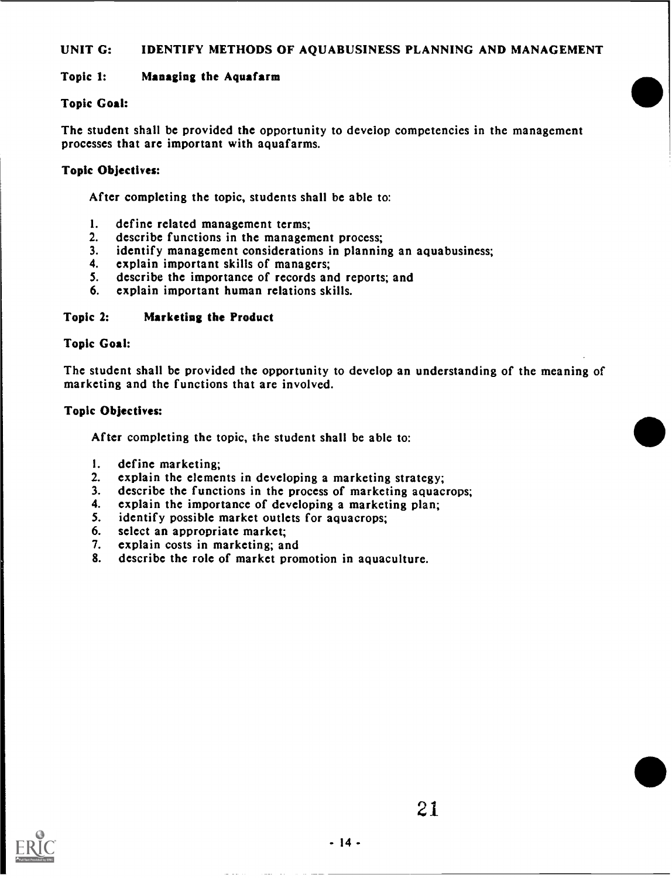#### UNIT G: IDENTIFY METHODS OF AQUABUSINESS PLANNING AND MANAGEMENT

#### Topic 1: Managing the Aquafarm

#### Topic Goal:

The student shall be provided the opportunity to develop competencies in the management processes that are important with aquafarms.

#### Topic Objectives:

After completing the topic, students shall be able to:

- 1. define related management terms;<br>2. describe functions in the managem
- 2. describe functions in the management process;<br>3. identify management considerations in plannin
- 3. identify management considerations in planning an aquabusiness;<br>4. explain important skills of managers;
- 4. explain important skills of managers;<br>5. describe the importance of records an
- describe the importance of records and reports; and
- 6. explain important human relations skills.

#### Topic 2: Marketing the Product

#### Topic Goal:

The student shall be provided the opportunity to develop an understanding of the meaning of marketing and the functions that are involved.

#### Topic Objectives:

After completing the topic, the student shall be able to:

- I. define marketing;
- 2. explain the elements in developing a marketing strategy;<br>3. describe the functions in the process of marketing aquactions.
- 3. describe the functions in the process of marketing aquacrops;<br>4. explain the importance of developing a marketing plan:
- 4. explain the importance of developing a marketing plan;<br>5. identify possible market outlets for aquacrops:
- identify possible market outlets for aquacrops;
- 6. select an appropriate market;<br>7. explain costs in marketing; are
- explain costs in marketing; and
- 8. describe the role of market promotion in aquaculture.